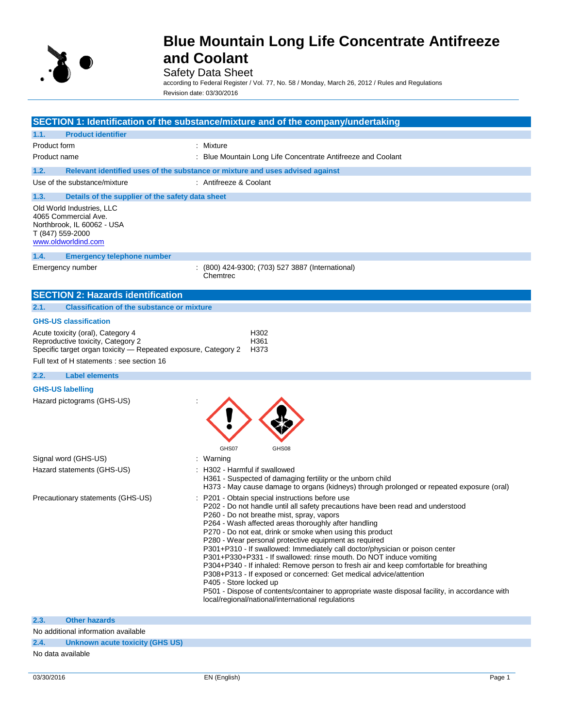

### Safety Data Sheet

according to Federal Register / Vol. 77, No. 58 / Monday, March 26, 2012 / Rules and Regulations Revision date: 03/30/2016

|                  |                                                                                                                                                                                        | SECTION 1: Identification of the substance/mixture and of the company/undertaking                                                                                                                                                                                                                                                                                                                                                                                                                                                                                                                                                                                                                                                                                                                                                                                 |
|------------------|----------------------------------------------------------------------------------------------------------------------------------------------------------------------------------------|-------------------------------------------------------------------------------------------------------------------------------------------------------------------------------------------------------------------------------------------------------------------------------------------------------------------------------------------------------------------------------------------------------------------------------------------------------------------------------------------------------------------------------------------------------------------------------------------------------------------------------------------------------------------------------------------------------------------------------------------------------------------------------------------------------------------------------------------------------------------|
| 1.1.             | <b>Product identifier</b>                                                                                                                                                              |                                                                                                                                                                                                                                                                                                                                                                                                                                                                                                                                                                                                                                                                                                                                                                                                                                                                   |
| Product form     |                                                                                                                                                                                        | : Mixture                                                                                                                                                                                                                                                                                                                                                                                                                                                                                                                                                                                                                                                                                                                                                                                                                                                         |
| Product name     |                                                                                                                                                                                        | : Blue Mountain Long Life Concentrate Antifreeze and Coolant                                                                                                                                                                                                                                                                                                                                                                                                                                                                                                                                                                                                                                                                                                                                                                                                      |
| 1.2.             |                                                                                                                                                                                        | Relevant identified uses of the substance or mixture and uses advised against                                                                                                                                                                                                                                                                                                                                                                                                                                                                                                                                                                                                                                                                                                                                                                                     |
|                  | Use of the substance/mixture                                                                                                                                                           | : Antifreeze & Coolant                                                                                                                                                                                                                                                                                                                                                                                                                                                                                                                                                                                                                                                                                                                                                                                                                                            |
| 1.3.             | Details of the supplier of the safety data sheet                                                                                                                                       |                                                                                                                                                                                                                                                                                                                                                                                                                                                                                                                                                                                                                                                                                                                                                                                                                                                                   |
| T (847) 559-2000 | Old World Industries, LLC<br>4065 Commercial Ave.<br>Northbrook, IL 60062 - USA<br>www.oldworldind.com                                                                                 |                                                                                                                                                                                                                                                                                                                                                                                                                                                                                                                                                                                                                                                                                                                                                                                                                                                                   |
| 1.4.             | <b>Emergency telephone number</b>                                                                                                                                                      |                                                                                                                                                                                                                                                                                                                                                                                                                                                                                                                                                                                                                                                                                                                                                                                                                                                                   |
|                  | Emergency number                                                                                                                                                                       | (800) 424-9300; (703) 527 3887 (International)<br>Chemtrec                                                                                                                                                                                                                                                                                                                                                                                                                                                                                                                                                                                                                                                                                                                                                                                                        |
|                  | <b>SECTION 2: Hazards identification</b>                                                                                                                                               |                                                                                                                                                                                                                                                                                                                                                                                                                                                                                                                                                                                                                                                                                                                                                                                                                                                                   |
| 2.1.             | <b>Classification of the substance or mixture</b>                                                                                                                                      |                                                                                                                                                                                                                                                                                                                                                                                                                                                                                                                                                                                                                                                                                                                                                                                                                                                                   |
|                  | <b>GHS-US classification</b>                                                                                                                                                           |                                                                                                                                                                                                                                                                                                                                                                                                                                                                                                                                                                                                                                                                                                                                                                                                                                                                   |
|                  | Acute toxicity (oral), Category 4<br>Reproductive toxicity, Category 2<br>Specific target organ toxicity - Repeated exposure, Category 2<br>Full text of H statements : see section 16 | H302<br>H361<br>H373                                                                                                                                                                                                                                                                                                                                                                                                                                                                                                                                                                                                                                                                                                                                                                                                                                              |
| 2.2.             | <b>Label elements</b>                                                                                                                                                                  |                                                                                                                                                                                                                                                                                                                                                                                                                                                                                                                                                                                                                                                                                                                                                                                                                                                                   |
|                  | <b>GHS-US labelling</b>                                                                                                                                                                |                                                                                                                                                                                                                                                                                                                                                                                                                                                                                                                                                                                                                                                                                                                                                                                                                                                                   |
|                  | Hazard pictograms (GHS-US)                                                                                                                                                             | GHS07<br>GHS08                                                                                                                                                                                                                                                                                                                                                                                                                                                                                                                                                                                                                                                                                                                                                                                                                                                    |
|                  | Signal word (GHS-US)                                                                                                                                                                   | : Warning                                                                                                                                                                                                                                                                                                                                                                                                                                                                                                                                                                                                                                                                                                                                                                                                                                                         |
|                  | Hazard statements (GHS-US)                                                                                                                                                             | : H302 - Harmful if swallowed<br>H361 - Suspected of damaging fertility or the unborn child<br>H373 - May cause damage to organs (kidneys) through prolonged or repeated exposure (oral)                                                                                                                                                                                                                                                                                                                                                                                                                                                                                                                                                                                                                                                                          |
|                  | Precautionary statements (GHS-US)                                                                                                                                                      | P201 - Obtain special instructions before use<br>P202 - Do not handle until all safety precautions have been read and understood<br>P260 - Do not breathe mist, spray, vapors<br>P264 - Wash affected areas thoroughly after handling<br>P270 - Do not eat, drink or smoke when using this product<br>P280 - Wear personal protective equipment as required<br>P301+P310 - If swallowed: Immediately call doctor/physician or poison center<br>P301+P330+P331 - If swallowed: rinse mouth. Do NOT induce vomiting<br>P304+P340 - If inhaled: Remove person to fresh air and keep comfortable for breathing<br>P308+P313 - If exposed or concerned: Get medical advice/attention<br>P405 - Store locked up<br>P501 - Dispose of contents/container to appropriate waste disposal facility, in accordance with<br>local/regional/national/international regulations |
|                  |                                                                                                                                                                                        |                                                                                                                                                                                                                                                                                                                                                                                                                                                                                                                                                                                                                                                                                                                                                                                                                                                                   |

No additional information available

#### **2.4. Unknown acute toxicity (GHS US)**

No data available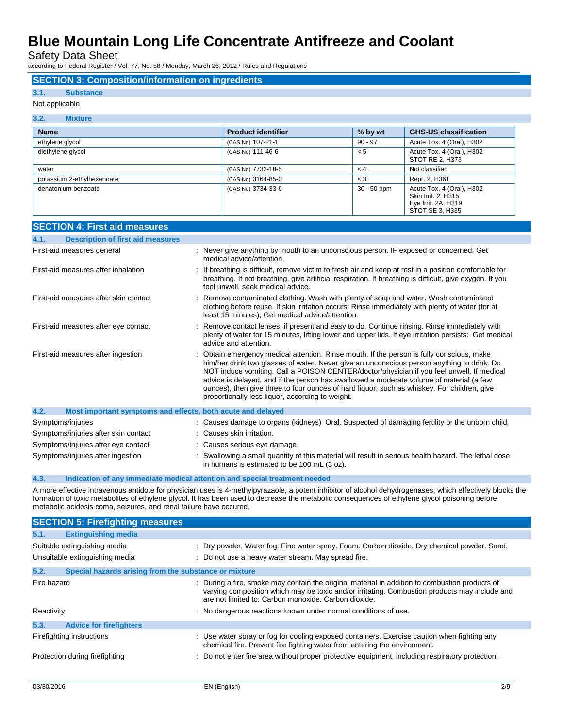Safety Data Sheet

according to Federal Register / Vol. 77, No. 58 / Monday, March 26, 2012 / Rules and Regulations

#### **SECTION 3: Composition/information on ingredients**

#### **3.1. Substance**

#### Not applicable

#### **3.2. Mixture**

| <b>Name</b>                | <b>Product identifier</b> | % by wt       | <b>GHS-US classification</b>                                                               |
|----------------------------|---------------------------|---------------|--------------------------------------------------------------------------------------------|
| ethylene glycol            | (CAS No) 107-21-1         | $90 - 97$     | Acute Tox. 4 (Oral), H302                                                                  |
| diethylene glycol          | (CAS No) 111-46-6         | < 5           | Acute Tox. 4 (Oral), H302<br>STOT RE 2, H373                                               |
| water                      | (CAS No) 7732-18-5        | < 4           | Not classified                                                                             |
| potassium 2-ethylhexanoate | (CAS No) 3164-85-0        | $<$ 3         | Repr. 2, H361                                                                              |
| denatonium benzoate        | (CAS No) 3734-33-6        | $30 - 50$ ppm | Acute Tox. 4 (Oral), H302<br>Skin Irrit. 2, H315<br>Eye Irrit. 2A, H319<br>STOT SE 3. H335 |

| <b>SECTION 4: First aid measures</b>                                |                                                                                                                                                                                                                                                                                                                                                                                                                                                                                                                                    |  |
|---------------------------------------------------------------------|------------------------------------------------------------------------------------------------------------------------------------------------------------------------------------------------------------------------------------------------------------------------------------------------------------------------------------------------------------------------------------------------------------------------------------------------------------------------------------------------------------------------------------|--|
| <b>Description of first aid measures</b><br>4.1.                    |                                                                                                                                                                                                                                                                                                                                                                                                                                                                                                                                    |  |
| First-aid measures general                                          | : Never give anything by mouth to an unconscious person. IF exposed or concerned: Get<br>medical advice/attention.                                                                                                                                                                                                                                                                                                                                                                                                                 |  |
| First-aid measures after inhalation                                 | : If breathing is difficult, remove victim to fresh air and keep at rest in a position comfortable for<br>breathing. If not breathing, give artificial respiration. If breathing is difficult, give oxygen. If you<br>feel unwell, seek medical advice.                                                                                                                                                                                                                                                                            |  |
| First-aid measures after skin contact                               | Remove contaminated clothing. Wash with plenty of soap and water. Wash contaminated<br>clothing before reuse. If skin irritation occurs: Rinse immediately with plenty of water (for at<br>least 15 minutes), Get medical advice/attention.                                                                                                                                                                                                                                                                                        |  |
| First-aid measures after eye contact                                | Remove contact lenses, if present and easy to do. Continue rinsing. Rinse immediately with<br>plenty of water for 15 minutes, lifting lower and upper lids. If eye irritation persists: Get medical<br>advice and attention.                                                                                                                                                                                                                                                                                                       |  |
| First-aid measures after ingestion                                  | : Obtain emergency medical attention. Rinse mouth. If the person is fully conscious, make<br>him/her drink two glasses of water. Never give an unconscious person anything to drink. Do<br>NOT induce vomiting. Call a POISON CENTER/doctor/physician if you feel unwell. If medical<br>advice is delayed, and if the person has swallowed a moderate volume of material (a few<br>ounces), then give three to four ounces of hard liquor, such as whiskey. For children, give<br>proportionally less liquor, according to weight. |  |
| 4.2.<br>Most important symptoms and effects, both acute and delayed |                                                                                                                                                                                                                                                                                                                                                                                                                                                                                                                                    |  |
| Symptoms/injuries                                                   | : Causes damage to organs (kidneys) Oral. Suspected of damaging fertility or the unborn child.                                                                                                                                                                                                                                                                                                                                                                                                                                     |  |
| Symptoms/injuries after skin contact                                | : Causes skin irritation.                                                                                                                                                                                                                                                                                                                                                                                                                                                                                                          |  |
| Symptoms/injuries after eye contact                                 | Causes serious eye damage.                                                                                                                                                                                                                                                                                                                                                                                                                                                                                                         |  |
| Symptoms/injuries after ingestion                                   | Swallowing a small quantity of this material will result in serious health hazard. The lethal dose<br>in humans is estimated to be 100 mL (3 oz).                                                                                                                                                                                                                                                                                                                                                                                  |  |

#### **4.3. Indication of any immediate medical attention and special treatment needed**

A more effective intravenous antidote for physician uses is 4-methylpyrazaole, a potent inhibitor of alcohol dehydrogenases, which effectively blocks the formation of toxic metabolites of ethylene glycol. It has been used to decrease the metabolic consequences of ethylene glycol poisoning before metabolic acidosis coma, seizures, and renal failure have occured.

| <b>SECTION 5: Firefighting measures</b> |                                                       |                                                                                                                                                                                                                                                         |
|-----------------------------------------|-------------------------------------------------------|---------------------------------------------------------------------------------------------------------------------------------------------------------------------------------------------------------------------------------------------------------|
| 5.1.                                    | <b>Extinguishing media</b>                            |                                                                                                                                                                                                                                                         |
|                                         | Suitable extinguishing media                          | : Dry powder. Water fog. Fine water spray. Foam. Carbon dioxide. Dry chemical powder. Sand.                                                                                                                                                             |
|                                         | Unsuitable extinguishing media                        | : Do not use a heavy water stream. May spread fire.                                                                                                                                                                                                     |
| 5.2.                                    | Special hazards arising from the substance or mixture |                                                                                                                                                                                                                                                         |
| Fire hazard                             |                                                       | : During a fire, smoke may contain the original material in addition to combustion products of<br>varying composition which may be toxic and/or irritating. Combustion products may include and<br>are not limited to: Carbon monoxide, Carbon dioxide. |
| Reactivity                              |                                                       | : No dangerous reactions known under normal conditions of use.                                                                                                                                                                                          |
| 5.3.                                    | <b>Advice for firefighters</b>                        |                                                                                                                                                                                                                                                         |
|                                         | Firefighting instructions                             | : Use water spray or fog for cooling exposed containers. Exercise caution when fighting any<br>chemical fire. Prevent fire fighting water from entering the environment.                                                                                |
| Protection during firefighting          |                                                       | : Do not enter fire area without proper protective equipment, including respiratory protection.                                                                                                                                                         |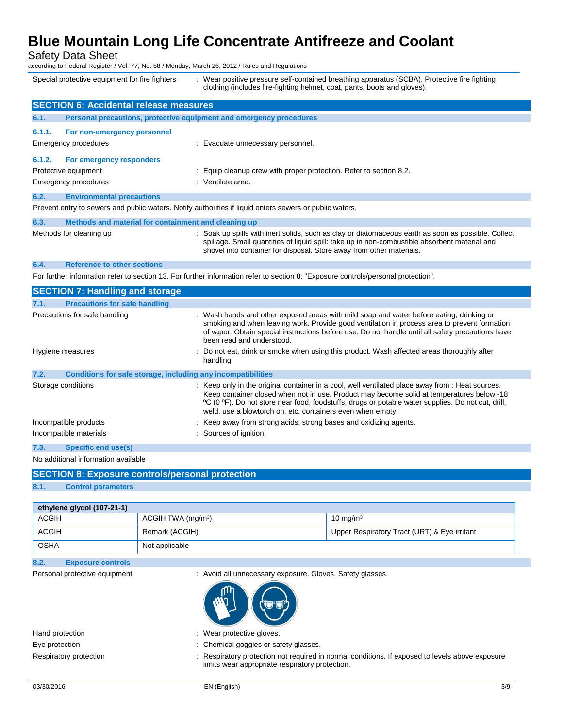Safety Data Sheet

according to Federal Register / Vol. 77, No. 58 / Monday, March 26, 2012 / Rules and Regulations

Special protective equipment for fire fighters : Wear positive pressure self-contained breathing apparatus (SCBA). Protective fire fighting clothing (includes fire-fighting helmet, coat, pants, boots and gloves).

|        | <b>SECTION 6: Accidental release measures</b>                                                           |                                                                                                                                                                                                                                                                              |  |
|--------|---------------------------------------------------------------------------------------------------------|------------------------------------------------------------------------------------------------------------------------------------------------------------------------------------------------------------------------------------------------------------------------------|--|
| 6.1.   | Personal precautions, protective equipment and emergency procedures                                     |                                                                                                                                                                                                                                                                              |  |
| 6.1.1. | For non-emergency personnel<br>Emergency procedures                                                     | : Evacuate unnecessary personnel.                                                                                                                                                                                                                                            |  |
| 6.1.2. | For emergency responders<br>Protective equipment                                                        | : Equip cleanup crew with proper protection. Refer to section 8.2.                                                                                                                                                                                                           |  |
|        | <b>Emergency procedures</b>                                                                             | : Ventilate area.                                                                                                                                                                                                                                                            |  |
| 6.2.   | <b>Environmental precautions</b>                                                                        |                                                                                                                                                                                                                                                                              |  |
|        | Prevent entry to sewers and public waters. Notify authorities if liquid enters sewers or public waters. |                                                                                                                                                                                                                                                                              |  |
| 6.3.   | Methods and material for containment and cleaning up                                                    |                                                                                                                                                                                                                                                                              |  |
|        | Methods for cleaning up                                                                                 | : Soak up spills with inert solids, such as clay or diatomaceous earth as soon as possible. Collect<br>spillage. Small quantities of liquid spill: take up in non-combustible absorbent material and<br>shovel into container for disposal. Store away from other materials. |  |

#### **6.4. Reference to other sections**

For further information refer to section 13. For further information refer to section 8: "Exposure controls/personal protection".

| <b>SECTION 7: Handling and storage</b>                                                                                                                                                                                                                                                                                                                            |  |  |
|-------------------------------------------------------------------------------------------------------------------------------------------------------------------------------------------------------------------------------------------------------------------------------------------------------------------------------------------------------------------|--|--|
|                                                                                                                                                                                                                                                                                                                                                                   |  |  |
| : Wash hands and other exposed areas with mild soap and water before eating, drinking or<br>smoking and when leaving work. Provide good ventilation in process area to prevent formation<br>of vapor. Obtain special instructions before use. Do not handle until all safety precautions have<br>been read and understood.                                        |  |  |
| : Do not eat, drink or smoke when using this product. Wash affected areas thoroughly after<br>handling.                                                                                                                                                                                                                                                           |  |  |
| Conditions for safe storage, including any incompatibilities                                                                                                                                                                                                                                                                                                      |  |  |
| : Keep only in the original container in a cool, well ventilated place away from : Heat sources.<br>Keep container closed when not in use. Product may become solid at temperatures below -18<br>°C (0 °F). Do not store near food, foodstuffs, drugs or potable water supplies. Do not cut, drill,<br>weld, use a blowtorch on, etc. containers even when empty. |  |  |
| : Keep away from strong acids, strong bases and oxidizing agents.                                                                                                                                                                                                                                                                                                 |  |  |
| : Sources of ignition.                                                                                                                                                                                                                                                                                                                                            |  |  |
|                                                                                                                                                                                                                                                                                                                                                                   |  |  |
|                                                                                                                                                                                                                                                                                                                                                                   |  |  |

```
No additional information available
```

| <b>SECTION 8: Exposure controls/personal protection</b> |                           |  |
|---------------------------------------------------------|---------------------------|--|
| 8.1.                                                    | <b>Control parameters</b> |  |

| ethylene glycol (107-21-1) |                                |                                              |  |
|----------------------------|--------------------------------|----------------------------------------------|--|
| <b>ACGIH</b>               | ACGIH TWA (mg/m <sup>3</sup> ) | $10 \text{ mg/m}^3$                          |  |
| <b>ACGIH</b>               | Remark (ACGIH)                 | Upper Respiratory Tract (URT) & Eye irritant |  |
| <b>OSHA</b>                | Not applicable                 |                                              |  |

### **8.2. Exposure controls**

Personal protective equipment : Avoid all unnecessary exposure. Gloves. Safety glasses.



Hand protection **in the case of the contract of the contract of the contract of the contract of the contract of the contract of the contract of the contract of the contract of the contract of the contract of the contract o** 

Eye protection **in the contract of the Chemical goggles or safety glasses.** 

Respiratory protection : Respiratory protection not required in normal conditions. If exposed to levels above exposure limits wear appropriate respiratory protection.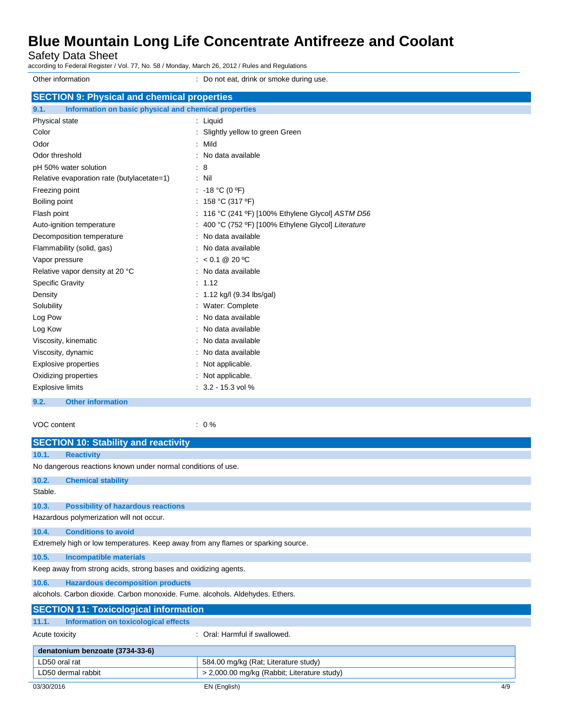Safety Data Sheet

according to Federal Register / Vol. 77, No. 58 / Monday, March 26, 2012 / Rules and Regulations

Other information **Other information** : Do not eat, drink or smoke during use. **SECTION 9: Physical and chemical properties 9.1. Information on basic physical and chemical properties** Physical state in the state in the state of the state in the state in the state in the state in the state in the state in the state in the state in the state in the state in the state in the state in the state in the state Color **Color** : Slightly yellow to green Green Odor : Mild Odor threshold **in the state of the state of the state of the state of the state of the state of the state of the state of the state of the state of the state of the state of the state of the state of the state of the stat** pH 50% water solution : 8 Relative evaporation rate (butylacetate=1) : Nil Freezing point  $\qquad \qquad : \qquad -18 \text{ °C (0 °F)}$ Boiling point : 158 °C (317 °F) Flash point : 116 °C (241 ºF) [100% Ethylene Glycol] *ASTM D56* Auto-ignition temperature : 400 °C (752 ºF) [100% Ethylene Glycol] *Literature* Decomposition temperature : No data available Flammability (solid, gas) **in the set of the set of the set of the set of the set of the set of the set of the set of the set of the set of the set of the set of the set of the set of the set of the set of the set of the s** Vapor pressure : < 0.1 @ 20 °C Relative vapor density at 20 °C : No data available Specific Gravity : 1.12 Density : 1.12 kg/l (9.34 lbs/gal) Solubility : Water: Complete Log Pow **:** No data available Log Kow **: No data available** Viscosity, kinematic **intervalse in the Contract of Contract Available** : No data available Viscosity, dynamic **intervalse in the Contract of Contract Available** : No data available Explosive properties : Not applicable. Oxidizing properties in the state of the state of the Society of the Society of the Society of the Society of the Society of the Society of the Society of the Society of the Society of the Society of the Society of the Soc Explosive limits  $\qquad \qquad$  : 3.2 - 15.3 vol %

**9.2. Other information**

VOC content : 0 %

|                                                                   | <b>SECTION 10: Stability and reactivity</b>                                       |                                      |     |
|-------------------------------------------------------------------|-----------------------------------------------------------------------------------|--------------------------------------|-----|
| 10.1.                                                             | <b>Reactivity</b>                                                                 |                                      |     |
|                                                                   | No dangerous reactions known under normal conditions of use.                      |                                      |     |
| 10.2.                                                             | <b>Chemical stability</b>                                                         |                                      |     |
| Stable.                                                           |                                                                                   |                                      |     |
| 10.3.                                                             | <b>Possibility of hazardous reactions</b>                                         |                                      |     |
|                                                                   | Hazardous polymerization will not occur.                                          |                                      |     |
| 10.4.                                                             | <b>Conditions to avoid</b>                                                        |                                      |     |
|                                                                   | Extremely high or low temperatures. Keep away from any flames or sparking source. |                                      |     |
| 10.5.                                                             | <b>Incompatible materials</b>                                                     |                                      |     |
|                                                                   | Keep away from strong acids, strong bases and oxidizing agents.                   |                                      |     |
| 10.6.                                                             | <b>Hazardous decomposition products</b>                                           |                                      |     |
|                                                                   | alcohols. Carbon dioxide. Carbon monoxide. Fume. alcohols. Aldehydes. Ethers.     |                                      |     |
|                                                                   | <b>SECTION 11: Toxicological information</b>                                      |                                      |     |
| 11.1.                                                             | Information on toxicological effects                                              |                                      |     |
|                                                                   | : Oral: Harmful if swallowed.<br>Acute toxicity                                   |                                      |     |
|                                                                   | denatonium benzoate (3734-33-6)                                                   |                                      |     |
| LD50 oral rat                                                     |                                                                                   | 584.00 mg/kg (Rat; Literature study) |     |
| > 2,000.00 mg/kg (Rabbit; Literature study)<br>LD50 dermal rabbit |                                                                                   |                                      |     |
| 03/30/2016                                                        |                                                                                   | EN (English)                         | 4/9 |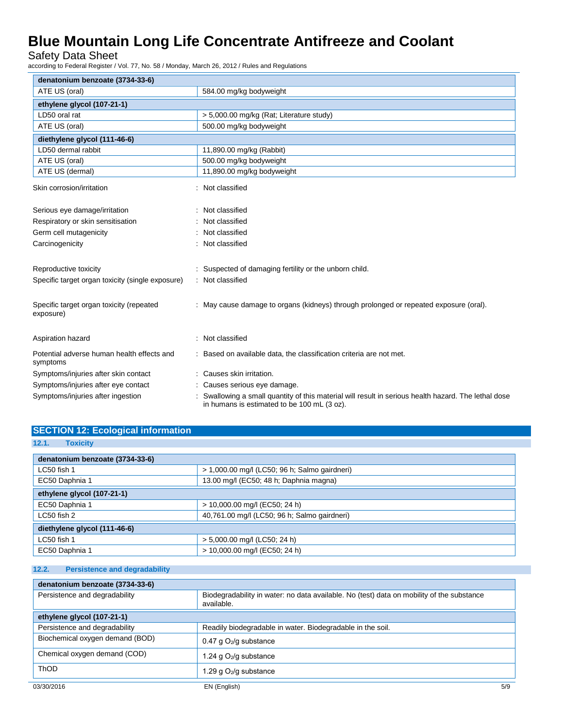Safety Data Sheet

according to Federal Register / Vol. 77, No. 58 / Monday, March 26, 2012 / Rules and Regulations

| denatonium benzoate (3734-33-6)                        |                                                                                                                                                   |  |  |
|--------------------------------------------------------|---------------------------------------------------------------------------------------------------------------------------------------------------|--|--|
| ATE US (oral)                                          | 584.00 mg/kg bodyweight                                                                                                                           |  |  |
| ethylene glycol (107-21-1)                             |                                                                                                                                                   |  |  |
| LD50 oral rat                                          | > 5,000.00 mg/kg (Rat; Literature study)                                                                                                          |  |  |
| ATE US (oral)                                          | 500.00 mg/kg bodyweight                                                                                                                           |  |  |
| diethylene glycol (111-46-6)                           |                                                                                                                                                   |  |  |
| LD50 dermal rabbit                                     | 11,890.00 mg/kg (Rabbit)                                                                                                                          |  |  |
| ATE US (oral)                                          | 500.00 mg/kg bodyweight                                                                                                                           |  |  |
| ATE US (dermal)                                        | 11,890.00 mg/kg bodyweight                                                                                                                        |  |  |
| Skin corrosion/irritation                              | Not classified                                                                                                                                    |  |  |
| Serious eye damage/irritation                          | Not classified                                                                                                                                    |  |  |
| Respiratory or skin sensitisation                      | Not classified                                                                                                                                    |  |  |
| Germ cell mutagenicity                                 | Not classified                                                                                                                                    |  |  |
| Carcinogenicity                                        | Not classified                                                                                                                                    |  |  |
| Reproductive toxicity                                  | : Suspected of damaging fertility or the unborn child.                                                                                            |  |  |
| Specific target organ toxicity (single exposure)       | : Not classified                                                                                                                                  |  |  |
| Specific target organ toxicity (repeated<br>exposure)  | : May cause damage to organs (kidneys) through prolonged or repeated exposure (oral).                                                             |  |  |
| Aspiration hazard                                      | : Not classified                                                                                                                                  |  |  |
| Potential adverse human health effects and<br>symptoms | Based on available data, the classification criteria are not met.                                                                                 |  |  |
| Symptoms/injuries after skin contact                   | : Causes skin irritation.                                                                                                                         |  |  |
| Symptoms/injuries after eye contact                    | : Causes serious eye damage.                                                                                                                      |  |  |
| Symptoms/injuries after ingestion                      | Swallowing a small quantity of this material will result in serious health hazard. The lethal dose<br>in humans is estimated to be 100 mL (3 oz). |  |  |

### **SECTION 12: Ecological information**

| 12.1.<br><b>Toxicity</b>        |                                               |  |
|---------------------------------|-----------------------------------------------|--|
| denatonium benzoate (3734-33-6) |                                               |  |
| LC50 fish 1                     | > 1,000.00 mg/l (LC50; 96 h; Salmo gairdneri) |  |
| EC50 Daphnia 1                  | 13.00 mg/l (EC50; 48 h; Daphnia magna)        |  |
| ethylene glycol (107-21-1)      |                                               |  |
| EC50 Daphnia 1                  | > 10,000.00 mg/l (EC50; 24 h)                 |  |
| LC50 fish 2                     | 40,761.00 mg/l (LC50; 96 h; Salmo gairdneri)  |  |
| diethylene glycol (111-46-6)    |                                               |  |
| LC50 fish 1                     | > 5,000.00 mg/l (LC50; 24 h)                  |  |
| EC50 Daphnia 1                  | > 10,000.00 mg/l (EC50; 24 h)                 |  |

#### **12.2. Persistence and degradability**

| denatonium benzoate (3734-33-6) |                                                                                                         |  |
|---------------------------------|---------------------------------------------------------------------------------------------------------|--|
| Persistence and degradability   | Biodegradability in water: no data available. No (test) data on mobility of the substance<br>available. |  |
| ethylene glycol (107-21-1)      |                                                                                                         |  |
| Persistence and degradability   | Readily biodegradable in water. Biodegradable in the soil.                                              |  |
| Biochemical oxygen demand (BOD) | 0.47 g $O_2$ /g substance                                                                               |  |
| Chemical oxygen demand (COD)    | 1.24 g O <sub>2</sub> /g substance                                                                      |  |
| <b>ThOD</b>                     | 1.29 g O2/g substance                                                                                   |  |
| 03/30/2016                      | EN (English)<br>5/9                                                                                     |  |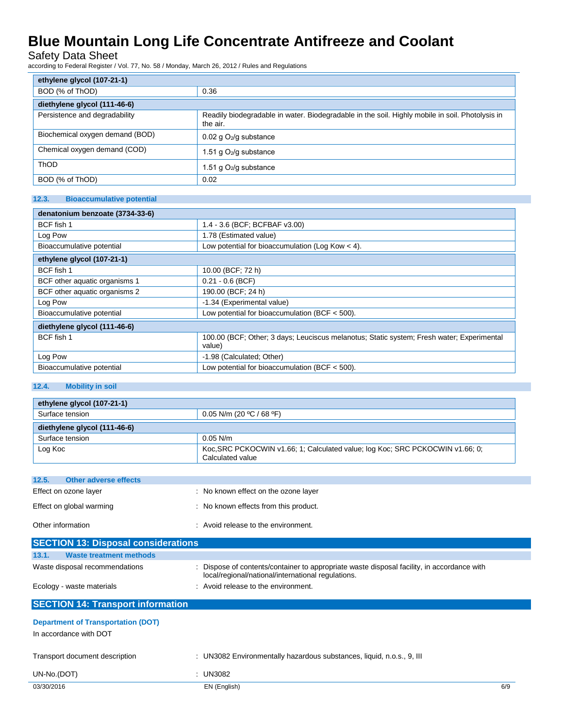Safety Data Sheet

according to Federal Register / Vol. 77, No. 58 / Monday, March 26, 2012 / Rules and Regulations

| ethylene glycol (107-21-1)      |                                                                                                             |  |
|---------------------------------|-------------------------------------------------------------------------------------------------------------|--|
| BOD (% of ThOD)<br>0.36         |                                                                                                             |  |
| diethylene glycol (111-46-6)    |                                                                                                             |  |
| Persistence and degradability   | Readily biodegradable in water. Biodegradable in the soil. Highly mobile in soil. Photolysis in<br>the air. |  |
| Biochemical oxygen demand (BOD) | $0.02$ g $O2/g$ substance                                                                                   |  |
| Chemical oxygen demand (COD)    | .51 g $O_2$ /g substance                                                                                    |  |
| <b>ThOD</b>                     | .51 g O <sub>2</sub> /g substance                                                                           |  |
| BOD (% of ThOD)                 | 0.02                                                                                                        |  |

#### **12.3. Bioaccumulative potential**

| denatonium benzoate (3734-33-6) |                                                                                                     |  |
|---------------------------------|-----------------------------------------------------------------------------------------------------|--|
| BCF fish 1                      | 1.4 - 3.6 (BCF; BCFBAF v3.00)                                                                       |  |
| Log Pow                         | 1.78 (Estimated value)                                                                              |  |
| Bioaccumulative potential       | Low potential for bioaccumulation (Log Kow $<$ 4).                                                  |  |
| ethylene glycol (107-21-1)      |                                                                                                     |  |
| BCF fish 1                      | 10.00 (BCF; 72 h)                                                                                   |  |
| BCF other aquatic organisms 1   | $0.21 - 0.6$ (BCF)                                                                                  |  |
| BCF other aquatic organisms 2   | 190.00 (BCF; 24 h)                                                                                  |  |
| Log Pow                         | -1.34 (Experimental value)                                                                          |  |
| Bioaccumulative potential       | Low potential for bioaccumulation (BCF $<$ 500).                                                    |  |
| diethylene glycol (111-46-6)    |                                                                                                     |  |
| BCF fish 1                      | 100.00 (BCF; Other; 3 days; Leuciscus melanotus; Static system; Fresh water; Experimental<br>value) |  |
| Log Pow                         | -1.98 (Calculated: Other)                                                                           |  |
| Bioaccumulative potential       | Low potential for bioaccumulation (BCF $<$ 500).                                                    |  |

#### **12.4. Mobility in soil**

| ethylene glycol (107-21-1)   |                                                                                                   |  |
|------------------------------|---------------------------------------------------------------------------------------------------|--|
| Surface tension              | 0.05 N/m (20 °C / 68 °F)                                                                          |  |
| diethylene glycol (111-46-6) |                                                                                                   |  |
| Surface tension              | $0.05$ N/m                                                                                        |  |
| Log Koc                      | Koc, SRC PCKOCWIN v1.66; 1; Calculated value; log Koc; SRC PCKOCWIN v1.66; 0;<br>Calculated value |  |

| 12.5.             | Other adverse effects    |                                       |
|-------------------|--------------------------|---------------------------------------|
|                   | Effect on ozone layer    | : No known effect on the ozone layer  |
|                   | Effect on global warming | : No known effects from this product. |
| Other information |                          | : Avoid release to the environment.   |

| <b>SECTION 13: Disposal considerations</b> |                                                                                                                                                  |
|--------------------------------------------|--------------------------------------------------------------------------------------------------------------------------------------------------|
| 13.1.<br>Waste treatment methods           |                                                                                                                                                  |
| Waste disposal recommendations             | : Dispose of contents/container to appropriate waste disposal facility, in accordance with<br>local/regional/national/international regulations. |
| Ecology - waste materials                  | : Avoid release to the environment.                                                                                                              |

### **SECTION 14: Transport information**

| <b>Department of Transportation (DOT)</b><br>In accordance with DOT |                                                                       |     |
|---------------------------------------------------------------------|-----------------------------------------------------------------------|-----|
| Transport document description                                      | : UN3082 Environmentally hazardous substances, liquid, n.o.s., 9, III |     |
| UN-No.(DOT)                                                         | : UN3082                                                              |     |
| 03/30/2016                                                          | EN (English)                                                          | 6/9 |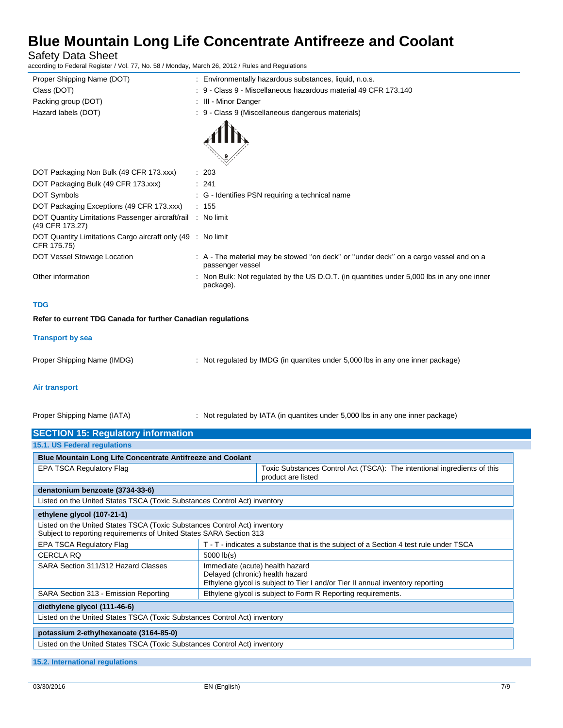Safety Data Sheet

according to Federal Register / Vol. 77, No. 58 / Monday, March 26, 2012 / Rules and Regulations

| Proper Shipping Name (DOT)                                                 | : Environmentally hazardous substances, liquid, n.o.s.                                                    |
|----------------------------------------------------------------------------|-----------------------------------------------------------------------------------------------------------|
| Class (DOT)                                                                | : 9 - Class 9 - Miscellaneous hazardous material 49 CFR 173.140                                           |
| Packing group (DOT)                                                        | : III - Minor Danger                                                                                      |
| Hazard labels (DOT)                                                        | : 9 - Class 9 (Miscellaneous dangerous materials)                                                         |
|                                                                            |                                                                                                           |
| DOT Packaging Non Bulk (49 CFR 173.xxx)                                    | : 203                                                                                                     |
| DOT Packaging Bulk (49 CFR 173.xxx)                                        | : 241                                                                                                     |
| DOT Symbols                                                                | : G - Identifies PSN requiring a technical name                                                           |
| DOT Packaging Exceptions (49 CFR 173.xxx)                                  | : 155                                                                                                     |
| DOT Quantity Limitations Passenger aircraft/rail<br>(49 CFR 173.27)        | : No limit                                                                                                |
| DOT Quantity Limitations Cargo aircraft only (49 : No limit<br>CFR 175.75) |                                                                                                           |
| DOT Vessel Stowage Location                                                | : A - The material may be stowed "on deck" or "under deck" on a cargo vessel and on a<br>passenger vessel |
| Other information                                                          | : Non Bulk: Not regulated by the US D.O.T. (in quantities under 5,000 lbs in any one inner<br>package).   |
|                                                                            |                                                                                                           |

#### **TDG**

**Refer to current TDG Canada for further Canadian regulations**

#### **Transport by sea**

Proper Shipping Name (IMDG) : Not regulated by IMDG (in quantites under 5,000 lbs in any one inner package)

#### **Air transport**

Proper Shipping Name (IATA) : Not regulated by IATA (in quantites under 5,000 lbs in any one inner package)

| 15.1. US Federal regulations                                                                                                                     |                                                                                                |  |
|--------------------------------------------------------------------------------------------------------------------------------------------------|------------------------------------------------------------------------------------------------|--|
| <b>Blue Mountain Long Life Concentrate Antifreeze and Coolant</b>                                                                                |                                                                                                |  |
| <b>EPA TSCA Regulatory Flag</b>                                                                                                                  | Toxic Substances Control Act (TSCA): The intentional ingredients of this<br>product are listed |  |
| denatonium benzoate (3734-33-6)                                                                                                                  |                                                                                                |  |
| Listed on the United States TSCA (Toxic Substances Control Act) inventory                                                                        |                                                                                                |  |
| ethylene glycol (107-21-1)                                                                                                                       |                                                                                                |  |
| Listed on the United States TSCA (Toxic Substances Control Act) inventory<br>Subject to reporting requirements of United States SARA Section 313 |                                                                                                |  |
| <b>EPA TSCA Regulatory Flag</b>                                                                                                                  | T - T - indicates a substance that is the subject of a Section 4 test rule under TSCA          |  |
| <b>CERCLA RQ</b>                                                                                                                                 | $5000$ $lb(s)$                                                                                 |  |
| SARA Section 311/312 Hazard Classes                                                                                                              | Immediate (acute) health hazard                                                                |  |
|                                                                                                                                                  | Delayed (chronic) health hazard                                                                |  |
|                                                                                                                                                  | Ethylene glycol is subject to Tier I and/or Tier II annual inventory reporting                 |  |
| SARA Section 313 - Emission Reporting                                                                                                            | Ethylene glycol is subject to Form R Reporting requirements.                                   |  |
| diethylene glycol (111-46-6)                                                                                                                     |                                                                                                |  |
| Listed on the United States TSCA (Toxic Substances Control Act) inventory                                                                        |                                                                                                |  |
|                                                                                                                                                  |                                                                                                |  |
| potassium 2-ethylhexanoate (3164-85-0)                                                                                                           |                                                                                                |  |
| Listed on the United States TSCA (Toxic Substances Control Act) inventory                                                                        |                                                                                                |  |

**15.2. International regulations**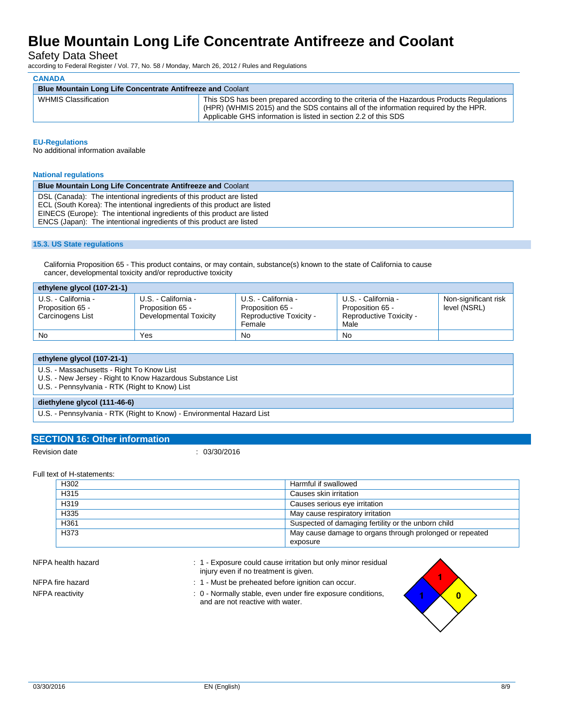Safety Data Sheet

according to Federal Register / Vol. 77, No. 58 / Monday, March 26, 2012 / Rules and Regulations

| CANADA                                                            |  |                                                                                                                                                                                                                                                      |
|-------------------------------------------------------------------|--|------------------------------------------------------------------------------------------------------------------------------------------------------------------------------------------------------------------------------------------------------|
| <b>Blue Mountain Long Life Concentrate Antifreeze and Coolant</b> |  |                                                                                                                                                                                                                                                      |
| WHMIS Classification                                              |  | This SDS has been prepared according to the criteria of the Hazardous Products Regulations<br>(HPR) (WHMIS 2015) and the SDS contains all of the information required by the HPR.<br>Applicable GHS information is listed in section 2.2 of this SDS |

#### **EU-Regulations**

**CANADA**

No additional information available

#### **National regulations**

| <b>Blue Mountain Long Life Concentrate Antifreeze and Coolant</b>         |
|---------------------------------------------------------------------------|
| DSL (Canada): The intentional ingredients of this product are listed      |
| ECL (South Korea): The intentional ingredients of this product are listed |
| EINECS (Europe): The intentional ingredients of this product are listed   |
| ENCS (Japan): The intentional ingredients of this product are listed      |

#### **15.3. US State regulations**

California Proposition 65 - This product contains, or may contain, substance(s) known to the state of California to cause cancer, developmental toxicity and/or reproductive toxicity

| ethylene glycol (107-21-1)                                  |                                                                   |                                                                              |                                                                            |                                      |
|-------------------------------------------------------------|-------------------------------------------------------------------|------------------------------------------------------------------------------|----------------------------------------------------------------------------|--------------------------------------|
| U.S. - California -<br>Proposition 65 -<br>Carcinogens List | U.S. - California -<br>Proposition 65 -<br>Developmental Toxicity | U.S. - California -<br>Proposition 65 -<br>Reproductive Toxicity -<br>Female | U.S. - California -<br>Proposition 65 -<br>Reproductive Toxicity -<br>Male | Non-significant risk<br>level (NSRL) |
| No                                                          | Yes                                                               | No                                                                           | No                                                                         |                                      |

| ethylene glycol (107-21-1)                                                                                   |
|--------------------------------------------------------------------------------------------------------------|
| U.S. - Massachusetts - Right To Know List                                                                    |
| U.S. - New Jersey - Right to Know Hazardous Substance List<br>U.S. - Pennsylvania - RTK (Right to Know) List |
|                                                                                                              |
| diethylene glycol (111-46-6)                                                                                 |
| U.S. - Pennsylvania - RTK (Right to Know) - Environmental Hazard List                                        |

#### **SECTION 16: Other information**

Revision date : 03/30/2016

#### Full text of H-statements:

| H302 | Harmful if swallowed                                     |
|------|----------------------------------------------------------|
| H315 | Causes skin irritation                                   |
| H319 | Causes serious eye irritation                            |
| H335 | May cause respiratory irritation                         |
| H361 | Suspected of damaging fertility or the unborn child      |
| H373 | May cause damage to organs through prolonged or repeated |
|      | exposure                                                 |

- NFPA health hazard **in the state of the COV** in the Exposure could cause irritation but only minor residual injury even if no treatment is given.
- 
- NFPA fire hazard **in the state of the state of the state of the state of the state of the state of the SNS** in 1 Must be preheated before ignition can occur.
- NFPA reactivity **interpretatal reactivity** : 0 Normally stable, even under fire exposure conditions, and are not reactive with water.